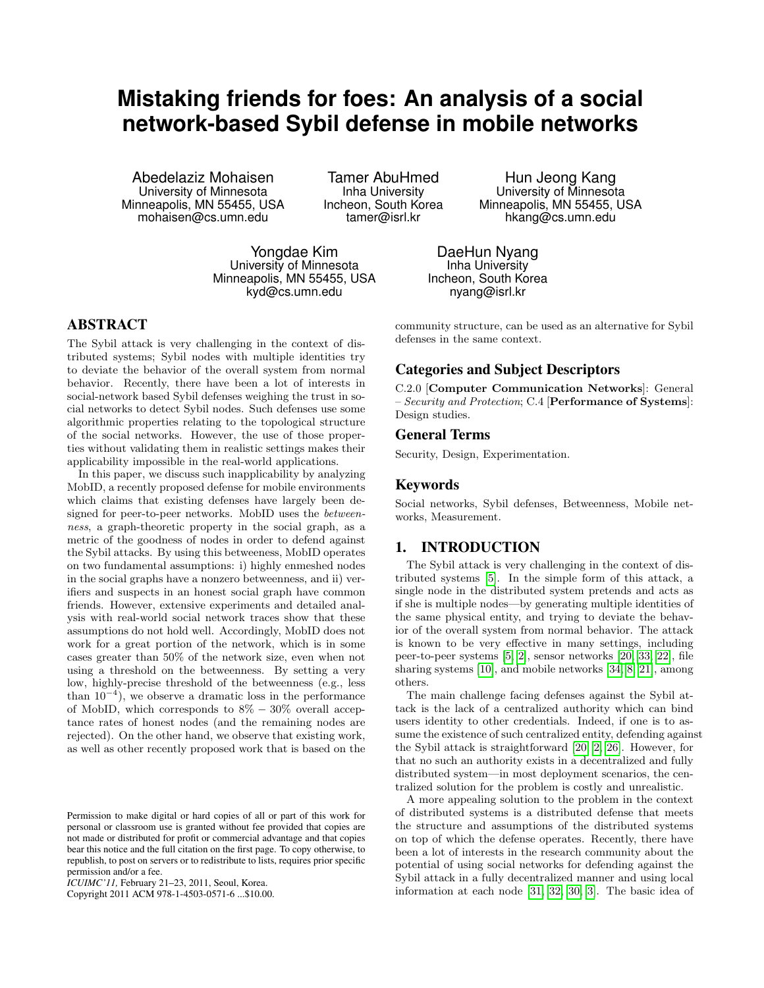# **Mistaking friends for foes: An analysis of a social network-based Sybil defense in mobile networks**

Abedelaziz Mohaisen University of Minnesota Minneapolis, MN 55455, USA mohaisen@cs.umn.edu

Tamer AbuHmed Inha University Incheon, South Korea tamer@isrl.kr

Yongdae Kim University of Minnesota Minneapolis, MN 55455, USA kyd@cs.umn.edu

University of Minnesota Minneapolis, MN 55455, USA hkang@cs.umn.edu

Hun Jeong Kang

ABSTRACT

The Sybil attack is very challenging in the context of distributed systems; Sybil nodes with multiple identities try to deviate the behavior of the overall system from normal behavior. Recently, there have been a lot of interests in social-network based Sybil defenses weighing the trust in social networks to detect Sybil nodes. Such defenses use some algorithmic properties relating to the topological structure of the social networks. However, the use of those properties without validating them in realistic settings makes their applicability impossible in the real-world applications.

In this paper, we discuss such inapplicability by analyzing MobID, a recently proposed defense for mobile environments which claims that existing defenses have largely been designed for peer-to-peer networks. MobID uses the betweenness, a graph-theoretic property in the social graph, as a metric of the goodness of nodes in order to defend against the Sybil attacks. By using this betweeness, MobID operates on two fundamental assumptions: i) highly enmeshed nodes in the social graphs have a nonzero betweenness, and ii) verifiers and suspects in an honest social graph have common friends. However, extensive experiments and detailed analysis with real-world social network traces show that these assumptions do not hold well. Accordingly, MobID does not work for a great portion of the network, which is in some cases greater than 50% of the network size, even when not using a threshold on the betweenness. By setting a very low, highly-precise threshold of the betweenness (e.g., less than  $10^{-4}$ ), we observe a dramatic loss in the performance of MobID, which corresponds to  $8\% - 30\%$  overall acceptance rates of honest nodes (and the remaining nodes are rejected). On the other hand, we observe that existing work, as well as other recently proposed work that is based on the

Copyright 2011 ACM 978-1-4503-0571-6 ...\$10.00.

DaeHun Nyang Inha University Incheon, South Korea nyang@isrl.kr

community structure, can be used as an alternative for Sybil defenses in the same context.

## Categories and Subject Descriptors

C.2.0 [Computer Communication Networks]: General – Security and Protection; C.4 [Performance of Systems]: Design studies.

#### General Terms

Security, Design, Experimentation.

#### Keywords

Social networks, Sybil defenses, Betweenness, Mobile networks, Measurement.

## 1. INTRODUCTION

The Sybil attack is very challenging in the context of distributed systems [\[5\]](#page-7-0). In the simple form of this attack, a single node in the distributed system pretends and acts as if she is multiple nodes—by generating multiple identities of the same physical entity, and trying to deviate the behavior of the overall system from normal behavior. The attack is known to be very effective in many settings, including peer-to-peer systems [\[5,](#page-7-0) [2\]](#page-7-1), sensor networks [\[20,](#page-8-0) [33,](#page-8-1) [22\]](#page-8-2), file sharing systems [\[10\]](#page-8-3), and mobile networks [\[34,](#page-8-4) [8,](#page-7-2) [21\]](#page-8-5), among others.

The main challenge facing defenses against the Sybil attack is the lack of a centralized authority which can bind users identity to other credentials. Indeed, if one is to assume the existence of such centralized entity, defending against the Sybil attack is straightforward [\[20,](#page-8-0) [2,](#page-7-1) [26\]](#page-8-6). However, for that no such an authority exists in a decentralized and fully distributed system—in most deployment scenarios, the centralized solution for the problem is costly and unrealistic.

A more appealing solution to the problem in the context of distributed systems is a distributed defense that meets the structure and assumptions of the distributed systems on top of which the defense operates. Recently, there have been a lot of interests in the research community about the potential of using social networks for defending against the Sybil attack in a fully decentralized manner and using local information at each node [\[31,](#page-8-7) [32,](#page-8-8) [30,](#page-8-9) [3\]](#page-7-3). The basic idea of

Permission to make digital or hard copies of all or part of this work for personal or classroom use is granted without fee provided that copies are not made or distributed for profit or commercial advantage and that copies bear this notice and the full citation on the first page. To copy otherwise, to republish, to post on servers or to redistribute to lists, requires prior specific permission and/or a fee.

*ICUIMC'11,* February 21–23, 2011, Seoul, Korea.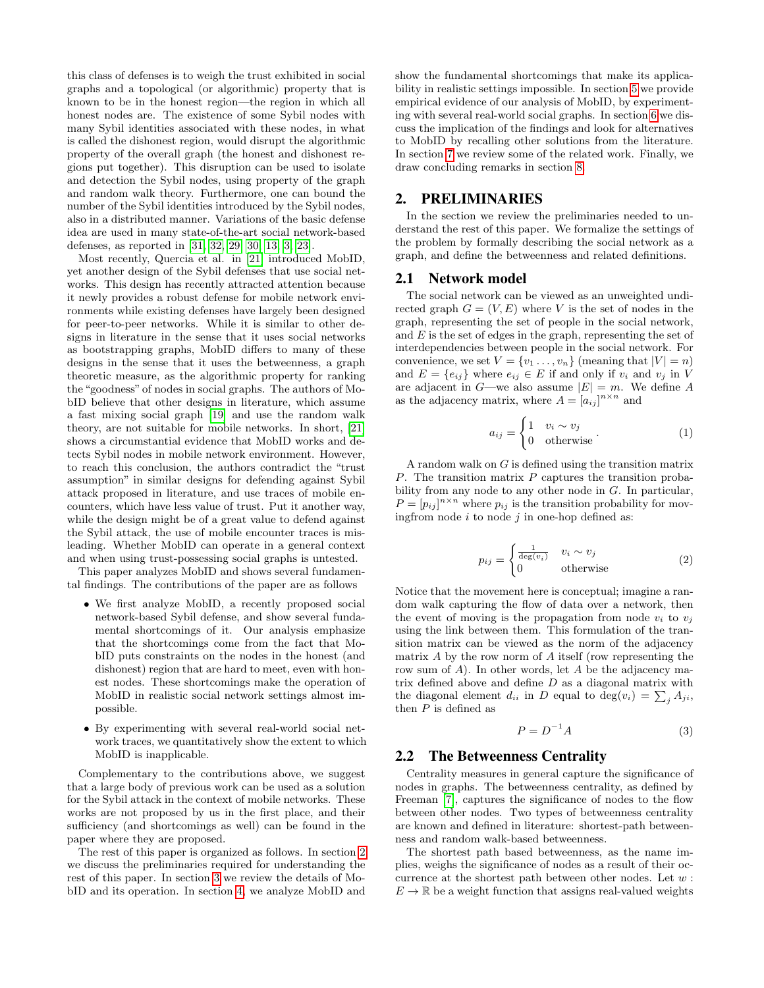this class of defenses is to weigh the trust exhibited in social graphs and a topological (or algorithmic) property that is known to be in the honest region—the region in which all honest nodes are. The existence of some Sybil nodes with many Sybil identities associated with these nodes, in what is called the dishonest region, would disrupt the algorithmic property of the overall graph (the honest and dishonest regions put together). This disruption can be used to isolate and detection the Sybil nodes, using property of the graph and random walk theory. Furthermore, one can bound the number of the Sybil identities introduced by the Sybil nodes, also in a distributed manner. Variations of the basic defense idea are used in many state-of-the-art social network-based defenses, as reported in [\[31,](#page-8-7) [32,](#page-8-8) [29,](#page-8-10) [30,](#page-8-9) [13,](#page-8-11) [3,](#page-7-3) [23\]](#page-8-12).

Most recently, Quercia et al. in [\[21\]](#page-8-5) introduced MobID, yet another design of the Sybil defenses that use social networks. This design has recently attracted attention because it newly provides a robust defense for mobile network environments while existing defenses have largely been designed for peer-to-peer networks. While it is similar to other designs in literature in the sense that it uses social networks as bootstrapping graphs, MobID differs to many of these designs in the sense that it uses the betweenness, a graph theoretic measure, as the algorithmic property for ranking the "goodness" of nodes in social graphs. The authors of MobID believe that other designs in literature, which assume a fast mixing social graph [\[19\]](#page-8-13) and use the random walk theory, are not suitable for mobile networks. In short, [\[21\]](#page-8-5) shows a circumstantial evidence that MobID works and detects Sybil nodes in mobile network environment. However, to reach this conclusion, the authors contradict the "trust assumption" in similar designs for defending against Sybil attack proposed in literature, and use traces of mobile encounters, which have less value of trust. Put it another way, while the design might be of a great value to defend against the Sybil attack, the use of mobile encounter traces is misleading. Whether MobID can operate in a general context and when using trust-possessing social graphs is untested.

This paper analyzes MobID and shows several fundamental findings. The contributions of the paper are as follows

- We first analyze MobID, a recently proposed social network-based Sybil defense, and show several fundamental shortcomings of it. Our analysis emphasize that the shortcomings come from the fact that MobID puts constraints on the nodes in the honest (and dishonest) region that are hard to meet, even with honest nodes. These shortcomings make the operation of MobID in realistic social network settings almost impossible.
- By experimenting with several real-world social network traces, we quantitatively show the extent to which MobID is inapplicable.

Complementary to the contributions above, we suggest that a large body of previous work can be used as a solution for the Sybil attack in the context of mobile networks. These works are not proposed by us in the first place, and their sufficiency (and shortcomings as well) can be found in the paper where they are proposed.

The rest of this paper is organized as follows. In section [2](#page-1-0) we discuss the preliminaries required for understanding the rest of this paper. In section [3](#page-2-0) we review the details of MobID and its operation. In section [4,](#page-3-0) we analyze MobID and

show the fundamental shortcomings that make its applicability in realistic settings impossible. In section [5](#page-4-0) we provide empirical evidence of our analysis of MobID, by experimenting with several real-world social graphs. In section [6](#page-5-0) we discuss the implication of the findings and look for alternatives to MobID by recalling other solutions from the literature. In section [7](#page-6-0) we review some of the related work. Finally, we draw concluding remarks in section [8.](#page-7-4)

## <span id="page-1-0"></span>2. PRELIMINARIES

In the section we review the preliminaries needed to understand the rest of this paper. We formalize the settings of the problem by formally describing the social network as a graph, and define the betweenness and related definitions.

#### 2.1 Network model

The social network can be viewed as an unweighted undirected graph  $G = (V, E)$  where V is the set of nodes in the graph, representing the set of people in the social network, and  $E$  is the set of edges in the graph, representing the set of interdependencies between people in the social network. For convenience, we set  $V = \{v_1, \ldots, v_n\}$  (meaning that  $|V| = n$ ) and  $E = \{e_{ij}\}\$  where  $e_{ij} \in E$  if and only if  $v_i$  and  $v_j$  in V are adjacent in  $G$ —we also assume  $|E| = m$ . We define A as the adjacency matrix, where  $A = [a_{ij}]^{n \times n}$  and

$$
a_{ij} = \begin{cases} 1 & v_i \sim v_j \\ 0 & \text{otherwise} \end{cases} . \tag{1}
$$

A random walk on G is defined using the transition matrix P. The transition matrix  $P$  captures the transition probability from any node to any other node in G. In particular,  $P = [p_{ij}]^{n \times n}$  where  $p_{ij}$  is the transition probability for movingfrom node  $i$  to node  $j$  in one-hop defined as:

$$
p_{ij} = \begin{cases} \frac{1}{\deg(v_i)} & v_i \sim v_j \\ 0 & \text{otherwise} \end{cases}
$$
 (2)

Notice that the movement here is conceptual; imagine a random walk capturing the flow of data over a network, then the event of moving is the propagation from node  $v_i$  to  $v_j$ using the link between them. This formulation of the transition matrix can be viewed as the norm of the adjacency matrix  $A$  by the row norm of  $A$  itself (row representing the row sum of  $A$ ). In other words, let  $A$  be the adjacency matrix defined above and define D as a diagonal matrix with the diagonal element  $d_{ii}$  in D equal to  $\deg(v_i) = \sum_j A_{ji}$ , then  $P$  is defined as

$$
P = D^{-1}A \tag{3}
$$

#### 2.2 The Betweenness Centrality

Centrality measures in general capture the significance of nodes in graphs. The betweenness centrality, as defined by Freeman [\[7\]](#page-7-5), captures the significance of nodes to the flow between other nodes. Two types of betweenness centrality are known and defined in literature: shortest-path betweenness and random walk-based betweenness.

The shortest path based betweenness, as the name implies, weighs the significance of nodes as a result of their occurrence at the shortest path between other nodes. Let  $w$ :  $E \to \mathbb{R}$  be a weight function that assigns real-valued weights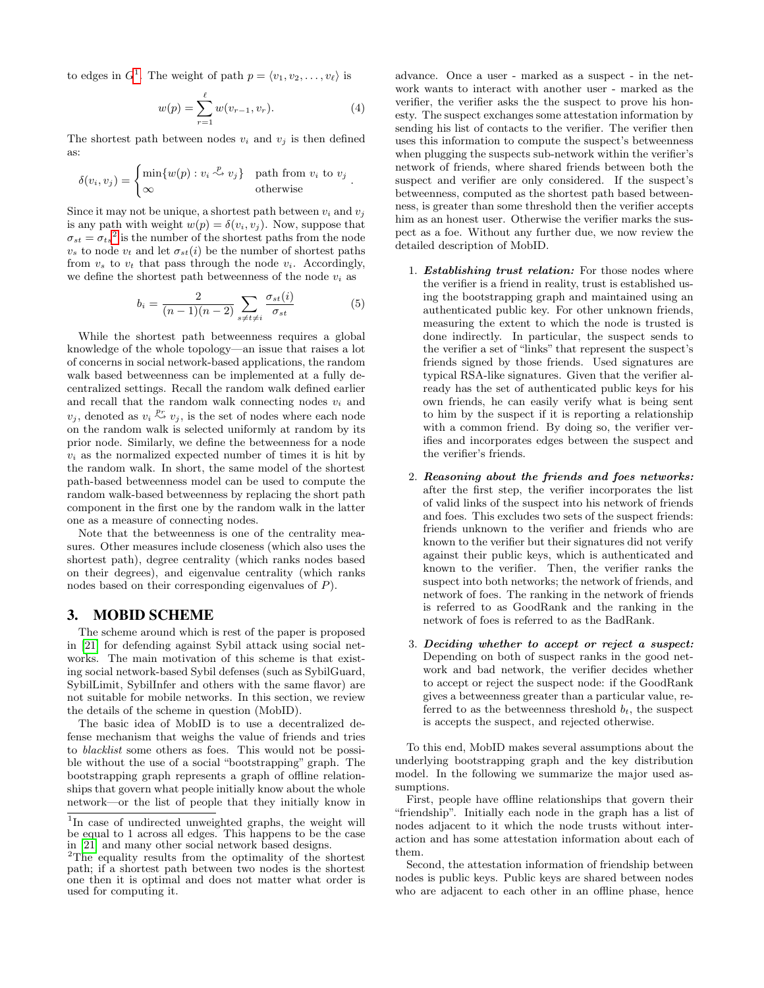to edges in  $G^1$  $G^1$ . The weight of path  $p = \langle v_1, v_2, \ldots, v_\ell \rangle$  is

$$
w(p) = \sum_{r=1}^{\ell} w(v_{r-1}, v_r).
$$
 (4)

The shortest path between nodes  $v_i$  and  $v_j$  is then defined as:

$$
\delta(v_i, v_j) = \begin{cases} \min\{w(p) : v_i \stackrel{p}{\leadsto} v_j\} & \text{path from } v_i \text{ to } v_j \\ \infty & \text{otherwise} \end{cases}.
$$

Since it may not be unique, a shortest path between  $v_i$  and  $v_j$ is any path with weight  $w(p) = \delta(v_i, v_j)$ . Now, suppose that  $\sigma_{st} = {\sigma_{ts}}^2$  $\sigma_{st} = {\sigma_{ts}}^2$  is the number of the shortest paths from the node  $v<sub>s</sub>$  to node  $v<sub>t</sub>$  and let  $\sigma_{st}(i)$  be the number of shortest paths from  $v_s$  to  $v_t$  that pass through the node  $v_i$ . Accordingly, we define the shortest path betweenness of the node  $v_i$  as

$$
b_i = \frac{2}{(n-1)(n-2)} \sum_{s \neq t \neq i} \frac{\sigma_{st}(i)}{\sigma_{st}} \tag{5}
$$

While the shortest path betweenness requires a global knowledge of the whole topology—an issue that raises a lot of concerns in social network-based applications, the random walk based betweenness can be implemented at a fully decentralized settings. Recall the random walk defined earlier and recall that the random walk connecting nodes  $v_i$  and  $v_j$ , denoted as  $v_i \stackrel{p_r}{\sim} v_j$ , is the set of nodes where each node on the random walk is selected uniformly at random by its prior node. Similarly, we define the betweenness for a node  $v_i$  as the normalized expected number of times it is hit by the random walk. In short, the same model of the shortest path-based betweenness model can be used to compute the random walk-based betweenness by replacing the short path component in the first one by the random walk in the latter one as a measure of connecting nodes.

Note that the betweenness is one of the centrality measures. Other measures include closeness (which also uses the shortest path), degree centrality (which ranks nodes based on their degrees), and eigenvalue centrality (which ranks nodes based on their corresponding eigenvalues of P).

#### <span id="page-2-0"></span>3. MOBID SCHEME

The scheme around which is rest of the paper is proposed in [\[21\]](#page-8-5) for defending against Sybil attack using social networks. The main motivation of this scheme is that existing social network-based Sybil defenses (such as SybilGuard, SybilLimit, SybilInfer and others with the same flavor) are not suitable for mobile networks. In this section, we review the details of the scheme in question (MobID).

The basic idea of MobID is to use a decentralized defense mechanism that weighs the value of friends and tries to blacklist some others as foes. This would not be possible without the use of a social "bootstrapping" graph. The bootstrapping graph represents a graph of offline relationships that govern what people initially know about the whole network—or the list of people that they initially know in advance. Once a user - marked as a suspect - in the network wants to interact with another user - marked as the verifier, the verifier asks the the suspect to prove his honesty. The suspect exchanges some attestation information by sending his list of contacts to the verifier. The verifier then uses this information to compute the suspect's betweenness when plugging the suspects sub-network within the verifier's network of friends, where shared friends between both the suspect and verifier are only considered. If the suspect's betweenness, computed as the shortest path based betweenness, is greater than some threshold then the verifier accepts him as an honest user. Otherwise the verifier marks the suspect as a foe. Without any further due, we now review the detailed description of MobID.

- 1. Establishing trust relation: For those nodes where the verifier is a friend in reality, trust is established using the bootstrapping graph and maintained using an authenticated public key. For other unknown friends, measuring the extent to which the node is trusted is done indirectly. In particular, the suspect sends to the verifier a set of "links" that represent the suspect's friends signed by those friends. Used signatures are typical RSA-like signatures. Given that the verifier already has the set of authenticated public keys for his own friends, he can easily verify what is being sent to him by the suspect if it is reporting a relationship with a common friend. By doing so, the verifier verifies and incorporates edges between the suspect and the verifier's friends.
- 2. Reasoning about the friends and foes networks: after the first step, the verifier incorporates the list of valid links of the suspect into his network of friends and foes. This excludes two sets of the suspect friends: friends unknown to the verifier and friends who are known to the verifier but their signatures did not verify against their public keys, which is authenticated and known to the verifier. Then, the verifier ranks the suspect into both networks; the network of friends, and network of foes. The ranking in the network of friends is referred to as GoodRank and the ranking in the network of foes is referred to as the BadRank.
- 3. Deciding whether to accept or reject a suspect: Depending on both of suspect ranks in the good network and bad network, the verifier decides whether to accept or reject the suspect node: if the GoodRank gives a betweenness greater than a particular value, referred to as the betweenness threshold  $b_t$ , the suspect is accepts the suspect, and rejected otherwise.

To this end, MobID makes several assumptions about the underlying bootstrapping graph and the key distribution model. In the following we summarize the major used assumptions.

First, people have offline relationships that govern their "friendship". Initially each node in the graph has a list of nodes adjacent to it which the node trusts without interaction and has some attestation information about each of them.

Second, the attestation information of friendship between nodes is public keys. Public keys are shared between nodes who are adjacent to each other in an offline phase, hence

<span id="page-2-1"></span><sup>&</sup>lt;sup>1</sup>In case of undirected unweighted graphs, the weight will be equal to 1 across all edges. This happens to be the case in [\[21\]](#page-8-5) and many other social network based designs.

<span id="page-2-2"></span><sup>2</sup>The equality results from the optimality of the shortest path; if a shortest path between two nodes is the shortest one then it is optimal and does not matter what order is used for computing it.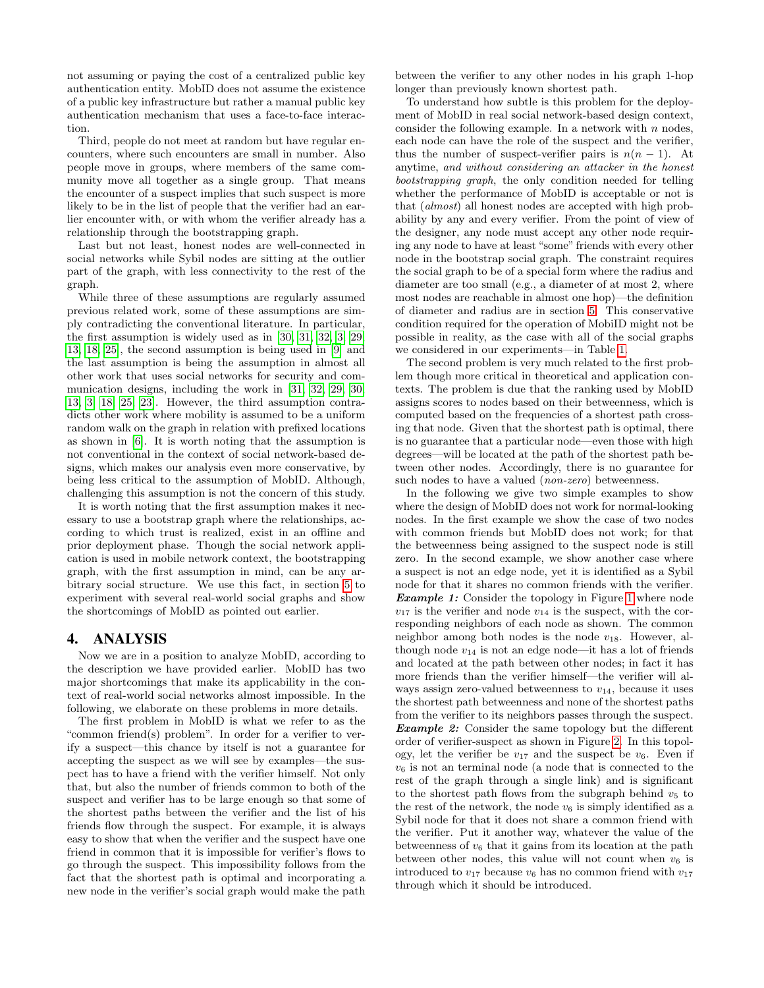not assuming or paying the cost of a centralized public key authentication entity. MobID does not assume the existence of a public key infrastructure but rather a manual public key authentication mechanism that uses a face-to-face interaction.

Third, people do not meet at random but have regular encounters, where such encounters are small in number. Also people move in groups, where members of the same community move all together as a single group. That means the encounter of a suspect implies that such suspect is more likely to be in the list of people that the verifier had an earlier encounter with, or with whom the verifier already has a relationship through the bootstrapping graph.

Last but not least, honest nodes are well-connected in social networks while Sybil nodes are sitting at the outlier part of the graph, with less connectivity to the rest of the graph.

While three of these assumptions are regularly assumed previous related work, some of these assumptions are simply contradicting the conventional literature. In particular, the first assumption is widely used as in [\[30,](#page-8-9) [31,](#page-8-7) [32,](#page-8-8) [3,](#page-7-3) [29,](#page-8-10) [13,](#page-8-11) [18,](#page-8-14) [25\]](#page-8-15), the second assumption is being used in [\[9\]](#page-7-6) and the last assumption is being the assumption in almost all other work that uses social networks for security and communication designs, including the work in [\[31,](#page-8-7) [32,](#page-8-8) [29,](#page-8-10) [30,](#page-8-9) [13,](#page-8-11) [3,](#page-7-3) [18,](#page-8-14) [25,](#page-8-15) [23\]](#page-8-12). However, the third assumption contradicts other work where mobility is assumed to be a uniform random walk on the graph in relation with prefixed locations as shown in [\[6\]](#page-7-7). It is worth noting that the assumption is not conventional in the context of social network-based designs, which makes our analysis even more conservative, by being less critical to the assumption of MobID. Although, challenging this assumption is not the concern of this study.

It is worth noting that the first assumption makes it necessary to use a bootstrap graph where the relationships, according to which trust is realized, exist in an offline and prior deployment phase. Though the social network application is used in mobile network context, the bootstrapping graph, with the first assumption in mind, can be any arbitrary social structure. We use this fact, in section [5](#page-4-0) to experiment with several real-world social graphs and show the shortcomings of MobID as pointed out earlier.

## <span id="page-3-0"></span>4. ANALYSIS

Now we are in a position to analyze MobID, according to the description we have provided earlier. MobID has two major shortcomings that make its applicability in the context of real-world social networks almost impossible. In the following, we elaborate on these problems in more details.

The first problem in MobID is what we refer to as the "common friend(s) problem". In order for a verifier to verify a suspect—this chance by itself is not a guarantee for accepting the suspect as we will see by examples—the suspect has to have a friend with the verifier himself. Not only that, but also the number of friends common to both of the suspect and verifier has to be large enough so that some of the shortest paths between the verifier and the list of his friends flow through the suspect. For example, it is always easy to show that when the verifier and the suspect have one friend in common that it is impossible for verifier's flows to go through the suspect. This impossibility follows from the fact that the shortest path is optimal and incorporating a new node in the verifier's social graph would make the path between the verifier to any other nodes in his graph 1-hop longer than previously known shortest path.

To understand how subtle is this problem for the deployment of MobID in real social network-based design context, consider the following example. In a network with  $n$  nodes, each node can have the role of the suspect and the verifier, thus the number of suspect-verifier pairs is  $n(n-1)$ . At anytime, and without considering an attacker in the honest bootstrapping graph, the only condition needed for telling whether the performance of MobID is acceptable or not is that (almost) all honest nodes are accepted with high probability by any and every verifier. From the point of view of the designer, any node must accept any other node requiring any node to have at least "some" friends with every other node in the bootstrap social graph. The constraint requires the social graph to be of a special form where the radius and diameter are too small (e.g., a diameter of at most 2, where most nodes are reachable in almost one hop)—the definition of diameter and radius are in section [5.](#page-4-0) This conservative condition required for the operation of MobiID might not be possible in reality, as the case with all of the social graphs we considered in our experiments—in Table [1.](#page-4-1)

The second problem is very much related to the first problem though more critical in theoretical and application contexts. The problem is due that the ranking used by MobID assigns scores to nodes based on their betweenness, which is computed based on the frequencies of a shortest path crossing that node. Given that the shortest path is optimal, there is no guarantee that a particular node—even those with high degrees—will be located at the path of the shortest path between other nodes. Accordingly, there is no guarantee for such nodes to have a valued (non-zero) betweenness.

In the following we give two simple examples to show where the design of MobID does not work for normal-looking nodes. In the first example we show the case of two nodes with common friends but MobID does not work; for that the betweenness being assigned to the suspect node is still zero. In the second example, we show another case where a suspect is not an edge node, yet it is identified as a Sybil node for that it shares no common friends with the verifier. Example 1: Consider the topology in Figure [1](#page-4-2) where node  $v_{17}$  is the verifier and node  $v_{14}$  is the suspect, with the corresponding neighbors of each node as shown. The common neighbor among both nodes is the node  $v_{18}$ . However, although node  $v_{14}$  is not an edge node—it has a lot of friends and located at the path between other nodes; in fact it has more friends than the verifier himself—the verifier will always assign zero-valued betweenness to  $v_{14}$ , because it uses the shortest path betweenness and none of the shortest paths from the verifier to its neighbors passes through the suspect. Example 2: Consider the same topology but the different order of verifier-suspect as shown in Figure [2.](#page-4-3) In this topology, let the verifier be  $v_{17}$  and the suspect be  $v_6$ . Even if  $v_6$  is not an terminal node (a node that is connected to the rest of the graph through a single link) and is significant to the shortest path flows from the subgraph behind  $v_5$  to the rest of the network, the node  $v_6$  is simply identified as a Sybil node for that it does not share a common friend with the verifier. Put it another way, whatever the value of the betweenness of  $v_6$  that it gains from its location at the path between other nodes, this value will not count when  $v_6$  is introduced to  $v_{17}$  because  $v_6$  has no common friend with  $v_{17}$ through which it should be introduced.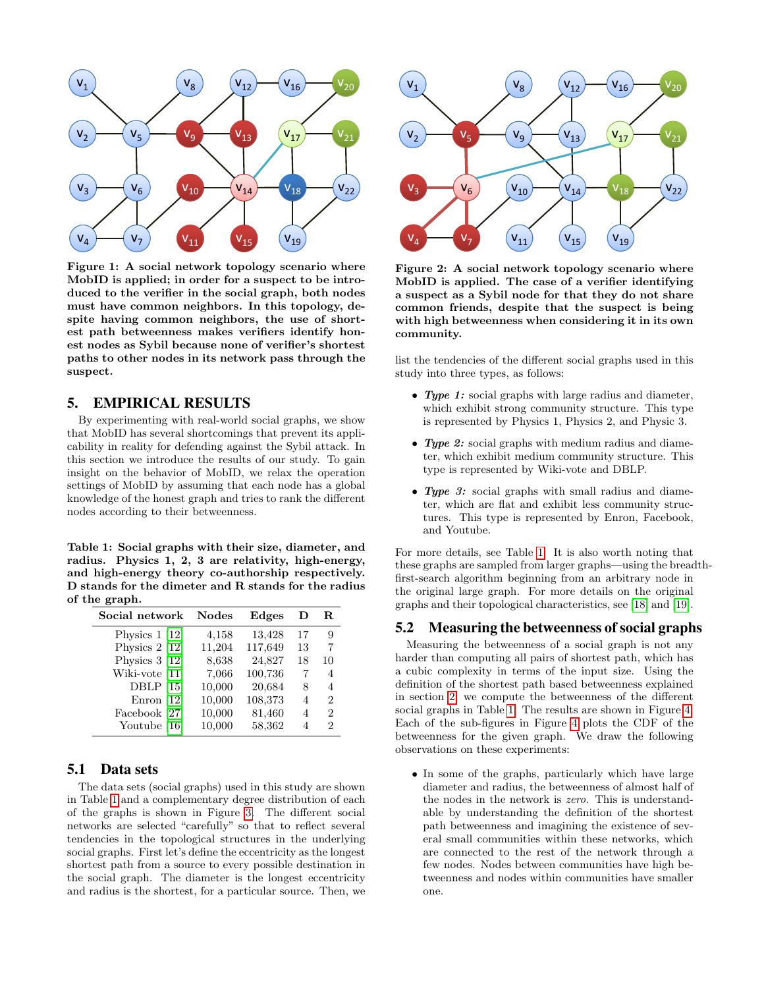

<span id="page-4-2"></span>Figure 1: A social network topology scenario where MobID is applied; in order for a suspect to be introduced to the verifier in the social graph, both nodes must have common neighbors. In this topology, despite having common neighbors, the use of shortest path betweenness makes verifiers identify honest nodes as Sybil because none of verifier's shortest paths to other nodes in its network pass through the suspect.

## <span id="page-4-0"></span>5. EMPIRICAL RESULTS

By experimenting with real-world social graphs, we show that MobID has several shortcomings that prevent its applicability in reality for defending against the Sybil attack. In this section we introduce the results of our study. To gain insight on the behavior of MobID, we relax the operation settings of MobID by assuming that each node has a global knowledge of the honest graph and tries to rank the different nodes according to their betweenness.

<span id="page-4-1"></span>Table 1: Social graphs with their size, diameter, and radius. Physics 1, 2, 3 are relativity, high-energy, and high-energy theory co-authorship respectively. D stands for the dimeter and R stands for the radius of the graph.

| Social network             | <b>Nodes</b> | Edges   | D  | R. |
|----------------------------|--------------|---------|----|----|
| Physics $1 \vert 12 \vert$ | 4,158        | 13,428  | 17 | 9  |
| Physics $2$ [12]           | 11,204       | 117,649 | 13 | 7  |
| Physics 3 [12]             | 8,638        | 24,827  | 18 | 10 |
| Wiki-vote [11]             | 7,066        | 100,736 | 7  | 4  |
| $DBLP$ [15]                | 10,000       | 20,684  | 8  | 4  |
| $Enron$ [12]               | 10,000       | 108,373 | 4  | 2  |
| Facebook [27]              | 10,000       | 81,460  | 4  | 2  |
| Youtube [16]               | 10,000       | 58,362  | 4  | 2  |

## 5.1 Data sets

The data sets (social graphs) used in this study are shown in Table [1](#page-4-1) and a complementary degree distribution of each of the graphs is shown in Figure [3.](#page-5-1) The different social networks are selected "carefully" so that to reflect several tendencies in the topological structures in the underlying social graphs. First let's define the eccentricity as the longest shortest path from a source to every possible destination in the social graph. The diameter is the longest eccentricity and radius is the shortest, for a particular source. Then, we



<span id="page-4-3"></span>Figure 2: A social network topology scenario where MobID is applied. The case of a verifier identifying a suspect as a Sybil node for that they do not share common friends, despite that the suspect is being with high betweenness when considering it in its own community.

list the tendencies of the different social graphs used in this study into three types, as follows:

- Type 1: social graphs with large radius and diameter, which exhibit strong community structure. This type is represented by Physics 1, Physics 2, and Physic 3.
- Type 2: social graphs with medium radius and diameter, which exhibit medium community structure. This type is represented by Wiki-vote and DBLP.
- Type 3: social graphs with small radius and diameter, which are flat and exhibit less community structures. This type is represented by Enron, Facebook, and Youtube.

For more details, see Table [1.](#page-4-1) It is also worth noting that these graphs are sampled from larger graphs—using the breadthfirst-search algorithm beginning from an arbitrary node in the original large graph. For more details on the original graphs and their topological characteristics, see [\[18\]](#page-8-14) and [\[19\]](#page-8-13).

### 5.2 Measuring the betweenness of social graphs

Measuring the betweenness of a social graph is not any harder than computing all pairs of shortest path, which has a cubic complexity in terms of the input size. Using the definition of the shortest path based betweenness explained in section [2,](#page-1-0) we compute the betweenness of the different social graphs in Table [1.](#page-4-1) The results are shown in Figure [4.](#page-6-1) Each of the sub-figures in Figure [4](#page-6-1) plots the CDF of the betweenness for the given graph. We draw the following observations on these experiments:

• In some of the graphs, particularly which have large diameter and radius, the betweenness of almost half of the nodes in the network is zero. This is understandable by understanding the definition of the shortest path betweenness and imagining the existence of several small communities within these networks, which are connected to the rest of the network through a few nodes. Nodes between communities have high betweenness and nodes within communities have smaller one.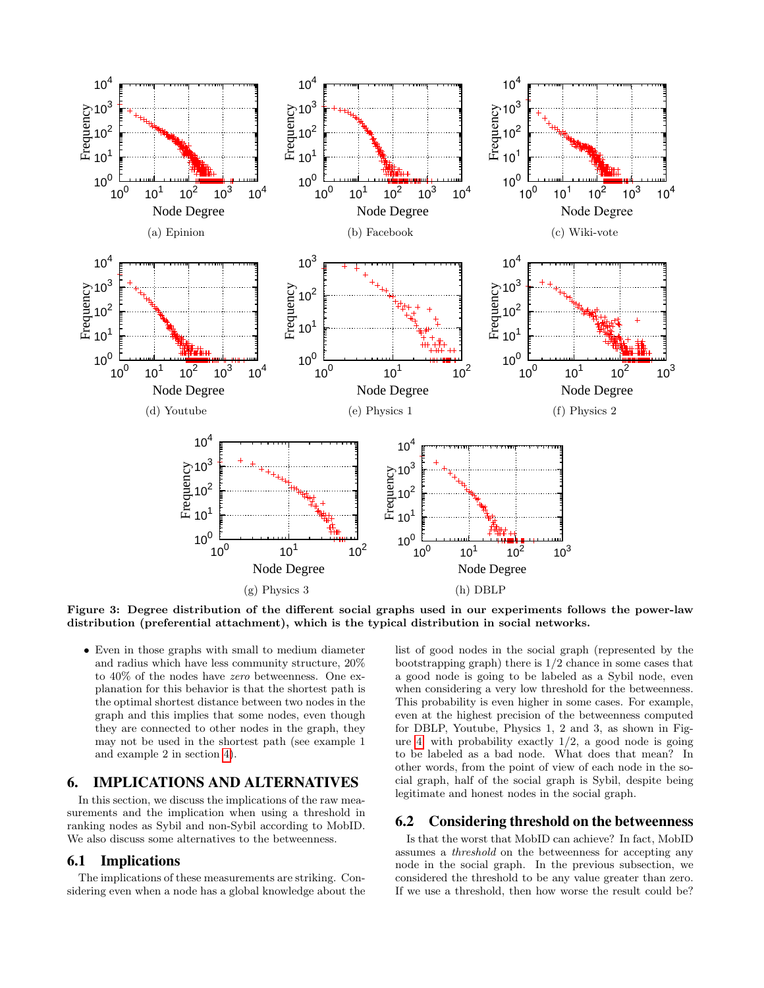

<span id="page-5-1"></span>Figure 3: Degree distribution of the different social graphs used in our experiments follows the power-law distribution (preferential attachment), which is the typical distribution in social networks.

• Even in those graphs with small to medium diameter and radius which have less community structure, 20% to 40% of the nodes have zero betweenness. One explanation for this behavior is that the shortest path is the optimal shortest distance between two nodes in the graph and this implies that some nodes, even though they are connected to other nodes in the graph, they may not be used in the shortest path (see example 1 and example 2 in section [4\)](#page-3-0).

## <span id="page-5-0"></span>6. IMPLICATIONS AND ALTERNATIVES

In this section, we discuss the implications of the raw measurements and the implication when using a threshold in ranking nodes as Sybil and non-Sybil according to MobID. We also discuss some alternatives to the betweenness.

#### 6.1 Implications

The implications of these measurements are striking. Considering even when a node has a global knowledge about the list of good nodes in the social graph (represented by the bootstrapping graph) there is 1/2 chance in some cases that a good node is going to be labeled as a Sybil node, even when considering a very low threshold for the betweenness. This probability is even higher in some cases. For example, even at the highest precision of the betweenness computed for DBLP, Youtube, Physics 1, 2 and 3, as shown in Fig-ure [4,](#page-6-1) with probability exactly  $1/2$ , a good node is going to be labeled as a bad node. What does that mean? In other words, from the point of view of each node in the social graph, half of the social graph is Sybil, despite being legitimate and honest nodes in the social graph.

## 6.2 Considering threshold on the betweenness

Is that the worst that MobID can achieve? In fact, MobID assumes a threshold on the betweenness for accepting any node in the social graph. In the previous subsection, we considered the threshold to be any value greater than zero. If we use a threshold, then how worse the result could be?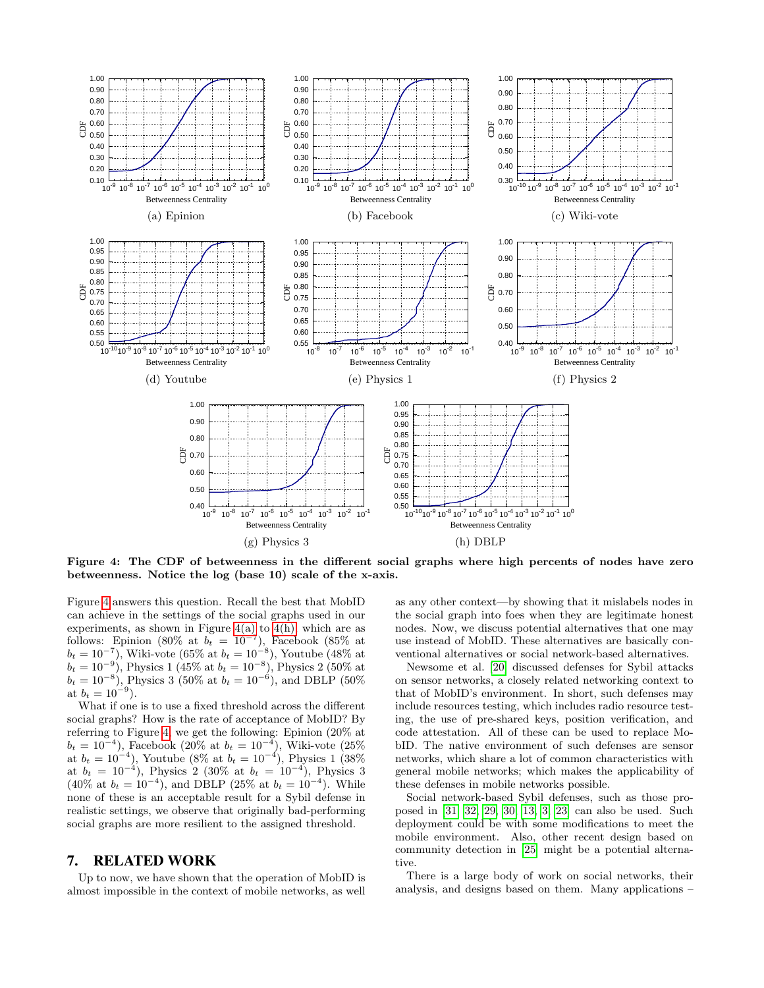<span id="page-6-2"></span>

<span id="page-6-1"></span>Figure 4: The CDF of betweenness in the different social graphs where high percents of nodes have zero betweenness. Notice the log (base 10) scale of the x-axis.

Figure [4](#page-6-1) answers this question. Recall the best that MobID can achieve in the settings of the social graphs used in our experiments, as shown in Figure  $4(a)$  to  $4(h)$ , which are as follows: Epinion (80% at  $b_t = 10^{-7}$ ), Facebook (85% at  $b_t = 10^{-7}$ ), Wiki-vote (65% at  $b_t = 10^{-8}$ ), Youtube (48% at  $b_t = 10^{-9}$ ), Physics 1 (45% at  $b_t = 10^{-8}$ ), Physics 2 (50% at  $b_t = 10^{-8}$ ), Physics 3 (50% at  $b_t = 10^{-6}$ ), and DBLP (50% at  $b_t = 10^{-9}$ .

What if one is to use a fixed threshold across the different social graphs? How is the rate of acceptance of MobID? By referring to Figure [4,](#page-6-1) we get the following: Epinion (20% at  $b_t = 10^{-4}$ ), Facebook (20% at  $b_t = 10^{-4}$ ), Wiki-vote (25%) at  $b_t = 10^{-4}$ ), Youtube (8% at  $b_t = 10^{-4}$ ), Physics 1 (38%) at  $b_t = 10^{-4}$ ), Physics 2 (30% at  $b_t = 10^{-4}$ ), Physics 3 (40% at  $b_t = 10^{-4}$ ), and DBLP (25% at  $b_t = 10^{-4}$ ). While none of these is an acceptable result for a Sybil defense in realistic settings, we observe that originally bad-performing social graphs are more resilient to the assigned threshold.

#### <span id="page-6-0"></span>7. RELATED WORK

Up to now, we have shown that the operation of MobID is almost impossible in the context of mobile networks, as well

<span id="page-6-3"></span>as any other context—by showing that it mislabels nodes in the social graph into foes when they are legitimate honest nodes. Now, we discuss potential alternatives that one may use instead of MobID. These alternatives are basically conventional alternatives or social network-based alternatives.

Newsome et al. [\[20\]](#page-8-0) discussed defenses for Sybil attacks on sensor networks, a closely related networking context to that of MobID's environment. In short, such defenses may include resources testing, which includes radio resource testing, the use of pre-shared keys, position verification, and code attestation. All of these can be used to replace MobID. The native environment of such defenses are sensor networks, which share a lot of common characteristics with general mobile networks; which makes the applicability of these defenses in mobile networks possible.

Social network-based Sybil defenses, such as those proposed in [\[31,](#page-8-7) [32,](#page-8-8) [29,](#page-8-10) [30,](#page-8-9) [13,](#page-8-11) [3,](#page-7-3) [23\]](#page-8-12) can also be used. Such deployment could be with some modifications to meet the mobile environment. Also, other recent design based on community detection in [\[25\]](#page-8-15) might be a potential alternative.

There is a large body of work on social networks, their analysis, and designs based on them. Many applications –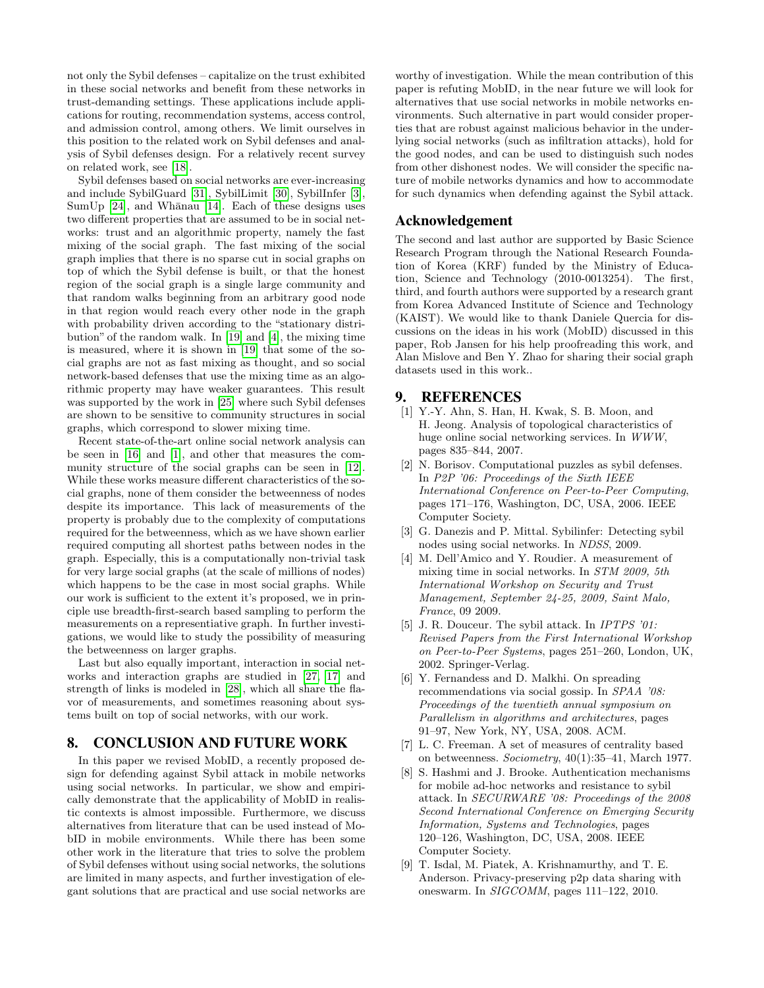not only the Sybil defenses – capitalize on the trust exhibited in these social networks and benefit from these networks in trust-demanding settings. These applications include applications for routing, recommendation systems, access control, and admission control, among others. We limit ourselves in this position to the related work on Sybil defenses and analysis of Sybil defenses design. For a relatively recent survey on related work, see [\[18\]](#page-8-14).

Sybil defenses based on social networks are ever-increasing and include SybilGuard [\[31\]](#page-8-7), SybilLimit [\[30\]](#page-8-9), SybilInfer [\[3\]](#page-7-3), SumUp  $[24]$ , and Whanau  $[14]$ . Each of these designs uses two different properties that are assumed to be in social networks: trust and an algorithmic property, namely the fast mixing of the social graph. The fast mixing of the social graph implies that there is no sparse cut in social graphs on top of which the Sybil defense is built, or that the honest region of the social graph is a single large community and that random walks beginning from an arbitrary good node in that region would reach every other node in the graph with probability driven according to the "stationary distribution" of the random walk. In [\[19\]](#page-8-13) and [\[4\]](#page-7-8), the mixing time is measured, where it is shown in [\[19\]](#page-8-13) that some of the social graphs are not as fast mixing as thought, and so social network-based defenses that use the mixing time as an algorithmic property may have weaker guarantees. This result was supported by the work in [\[25\]](#page-8-15) where such Sybil defenses are shown to be sensitive to community structures in social graphs, which correspond to slower mixing time.

Recent state-of-the-art online social network analysis can be seen in [\[16\]](#page-8-20) and [\[1\]](#page-7-9), and other that measures the community structure of the social graphs can be seen in [\[12\]](#page-8-16). While these works measure different characteristics of the social graphs, none of them consider the betweenness of nodes despite its importance. This lack of measurements of the property is probably due to the complexity of computations required for the betweenness, which as we have shown earlier required computing all shortest paths between nodes in the graph. Especially, this is a computationally non-trivial task for very large social graphs (at the scale of millions of nodes) which happens to be the case in most social graphs. While our work is sufficient to the extent it's proposed, we in principle use breadth-first-search based sampling to perform the measurements on a representiative graph. In further investigations, we would like to study the possibility of measuring the betweenness on larger graphs.

Last but also equally important, interaction in social networks and interaction graphs are studied in [\[27,](#page-8-19) [17\]](#page-8-23) and strength of links is modeled in [\[28\]](#page-8-24), which all share the flavor of measurements, and sometimes reasoning about systems built on top of social networks, with our work.

#### <span id="page-7-4"></span>8. CONCLUSION AND FUTURE WORK

In this paper we revised MobID, a recently proposed design for defending against Sybil attack in mobile networks using social networks. In particular, we show and empirically demonstrate that the applicability of MobID in realistic contexts is almost impossible. Furthermore, we discuss alternatives from literature that can be used instead of MobID in mobile environments. While there has been some other work in the literature that tries to solve the problem of Sybil defenses without using social networks, the solutions are limited in many aspects, and further investigation of elegant solutions that are practical and use social networks are

worthy of investigation. While the mean contribution of this paper is refuting MobID, in the near future we will look for alternatives that use social networks in mobile networks environments. Such alternative in part would consider properties that are robust against malicious behavior in the underlying social networks (such as infiltration attacks), hold for the good nodes, and can be used to distinguish such nodes from other dishonest nodes. We will consider the specific nature of mobile networks dynamics and how to accommodate for such dynamics when defending against the Sybil attack.

### Acknowledgement

The second and last author are supported by Basic Science Research Program through the National Research Foundation of Korea (KRF) funded by the Ministry of Education, Science and Technology (2010-0013254). The first, third, and fourth authors were supported by a research grant from Korea Advanced Institute of Science and Technology (KAIST). We would like to thank Daniele Quercia for discussions on the ideas in his work (MobID) discussed in this paper, Rob Jansen for his help proofreading this work, and Alan Mislove and Ben Y. Zhao for sharing their social graph datasets used in this work..

#### 9. REFERENCES

- <span id="page-7-9"></span>[1] Y.-Y. Ahn, S. Han, H. Kwak, S. B. Moon, and H. Jeong. Analysis of topological characteristics of huge online social networking services. In WWW, pages 835–844, 2007.
- <span id="page-7-1"></span>[2] N. Borisov. Computational puzzles as sybil defenses. In P2P '06: Proceedings of the Sixth IEEE International Conference on Peer-to-Peer Computing, pages 171–176, Washington, DC, USA, 2006. IEEE Computer Society.
- <span id="page-7-3"></span>[3] G. Danezis and P. Mittal. Sybilinfer: Detecting sybil nodes using social networks. In NDSS, 2009.
- <span id="page-7-8"></span>[4] M. Dell'Amico and Y. Roudier. A measurement of mixing time in social networks. In STM 2009, 5th International Workshop on Security and Trust Management, September 24-25, 2009, Saint Malo, France, 09 2009.
- <span id="page-7-0"></span>[5] J. R. Douceur. The sybil attack. In *IPTPS* '01: Revised Papers from the First International Workshop on Peer-to-Peer Systems, pages 251–260, London, UK, 2002. Springer-Verlag.
- <span id="page-7-7"></span>[6] Y. Fernandess and D. Malkhi. On spreading recommendations via social gossip. In SPAA '08: Proceedings of the twentieth annual symposium on Parallelism in algorithms and architectures, pages 91–97, New York, NY, USA, 2008. ACM.
- <span id="page-7-5"></span>[7] L. C. Freeman. A set of measures of centrality based on betweenness. Sociometry, 40(1):35–41, March 1977.
- <span id="page-7-2"></span>[8] S. Hashmi and J. Brooke. Authentication mechanisms for mobile ad-hoc networks and resistance to sybil attack. In SECURWARE '08: Proceedings of the 2008 Second International Conference on Emerging Security Information, Systems and Technologies, pages 120–126, Washington, DC, USA, 2008. IEEE Computer Society.
- <span id="page-7-6"></span>[9] T. Isdal, M. Piatek, A. Krishnamurthy, and T. E. Anderson. Privacy-preserving p2p data sharing with oneswarm. In SIGCOMM, pages 111–122, 2010.